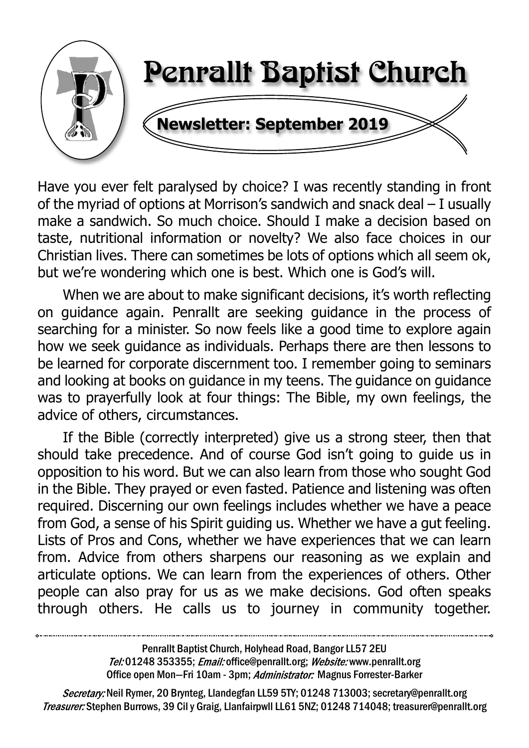

Have you ever felt paralysed by choice? I was recently standing in front of the myriad of options at Morrison's sandwich and snack deal – I usually make a sandwich. So much choice. Should I make a decision based on taste, nutritional information or novelty? We also face choices in our Christian lives. There can sometimes be lots of options which all seem ok, but we're wondering which one is best. Which one is God's will.

When we are about to make significant decisions, it's worth reflecting on guidance again. Penrallt are seeking guidance in the process of searching for a minister. So now feels like a good time to explore again how we seek guidance as individuals. Perhaps there are then lessons to be learned for corporate discernment too. I remember going to seminars and looking at books on guidance in my teens. The guidance on guidance was to prayerfully look at four things: The Bible, my own feelings, the advice of others, circumstances.

 If the Bible (correctly interpreted) give us a strong steer, then that should take precedence. And of course God isn't going to guide us in opposition to his word. But we can also learn from those who sought God in the Bible. They prayed or even fasted. Patience and listening was often required. Discerning our own feelings includes whether we have a peace from God, a sense of his Spirit guiding us. Whether we have a gut feeling. Lists of Pros and Cons, whether we have experiences that we can learn from. Advice from others sharpens our reasoning as we explain and articulate options. We can learn from the experiences of others. Other people can also pray for us as we make decisions. God often speaks through others. He calls us to journey in community together.

> Penrallt Baptist Church, Holyhead Road, Bangor LL57 2EU Tel:01248 353355; Email: office@penrallt.org; Website: www.penrallt.org Office open Mon-Fri 10am - 3pm; Administrator: Magnus Forrester-Barker

Secretary: Neil Rymer, 20 Brynteg, Llandegfan LL59 5TY; 01248 713003; secretary@penrallt.org Treasurer: Stephen Burrows, 39 Cil y Graig, Llanfairpwll LL61 5NZ; 01248 714048; treasurer@penrallt.org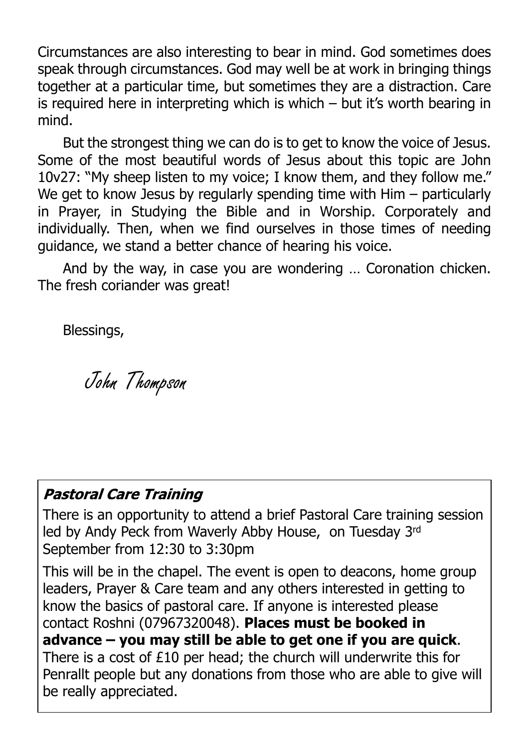Circumstances are also interesting to bear in mind. God sometimes does speak through circumstances. God may well be at work in bringing things together at a particular time, but sometimes they are a distraction. Care is required here in interpreting which is which – but it's worth bearing in mind.

 But the strongest thing we can do is to get to know the voice of Jesus. Some of the most beautiful words of Jesus about this topic are John 10v27: "My sheep listen to my voice; I know them, and they follow me." We get to know Jesus by regularly spending time with Him – particularly in Prayer, in Studying the Bible and in Worship. Corporately and individually. Then, when we find ourselves in those times of needing guidance, we stand a better chance of hearing his voice.

 And by the way, in case you are wondering … Coronation chicken. The fresh coriander was great!

Blessings,

John Thompson

#### **Pastoral Care Training**

There is an opportunity to attend a brief Pastoral Care training session led by Andy Peck from Waverly Abby House, on Tuesday 3rd September from 12:30 to 3:30pm

This will be in the chapel. The event is open to deacons, home group leaders, Prayer & Care team and any others interested in getting to know the basics of pastoral care. If anyone is interested please contact Roshni (07967320048). **Places must be booked in advance – you may still be able to get one if you are quick**. There is a cost of £10 per head; the church will underwrite this for Penrallt people but any donations from those who are able to give will be really appreciated.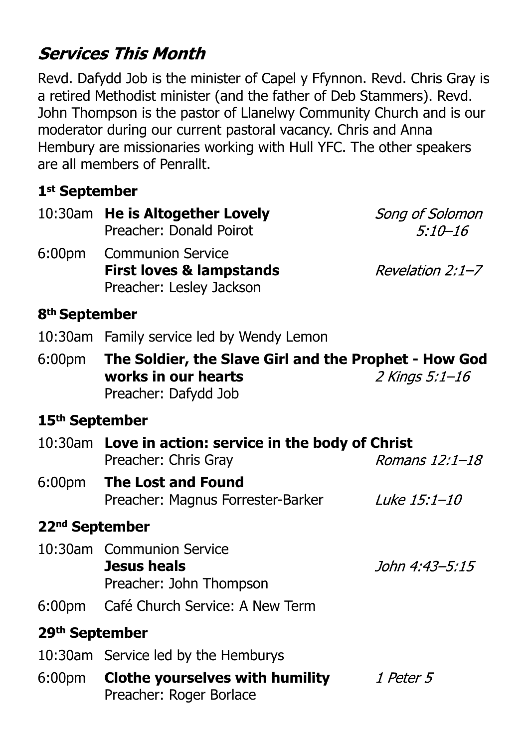# **Services This Month**

Revd. Dafydd Job is the minister of Capel y Ffynnon. Revd. Chris Gray is a retired Methodist minister (and the father of Deb Stammers). Revd. John Thompson is the pastor of Llanelwy Community Church and is our moderator during our current pastoral vacancy. Chris and Anna Hembury are missionaries working with Hull YFC. The other speakers are all members of Penrallt.

## **1st September**

|                            | 10:30am He is Altogether Lovely<br>Preacher: Donald Poirot                                                  | Song of Solomon<br>$5:10 - 16$ |
|----------------------------|-------------------------------------------------------------------------------------------------------------|--------------------------------|
|                            | 6:00pm Communion Service<br><b>First loves &amp; lampstands</b><br>Preacher: Lesley Jackson                 | Revelation 2:1–7               |
| 8 <sup>th</sup> September  |                                                                                                             |                                |
|                            | 10:30am Family service led by Wendy Lemon                                                                   |                                |
|                            | 6:00pm The Soldier, the Slave Girl and the Prophet - How God<br>works in our hearts<br>Preacher: Dafydd Job | 2 Kings 5:1–16                 |
| 15 <sup>th</sup> September |                                                                                                             |                                |
|                            | 10:30am Love in action: service in the body of Christ<br>Preacher: Chris Gray                               | Romans 12:1-18                 |
| 6:00pm                     | <b>The Lost and Found</b><br>Preacher: Magnus Forrester-Barker                                              | Luke 15:1-10                   |
| 22 <sup>nd</sup> September |                                                                                                             |                                |
|                            | 10:30am Communion Service<br><b>Jesus heals</b><br>Preacher: John Thompson                                  | John 4:43–5:15                 |
| 6:00 <sub>pm</sub>         | Café Church Service: A New Term                                                                             |                                |
| 29 <sup>th</sup> September |                                                                                                             |                                |
|                            | 10:30am Service led by the Hemburys                                                                         |                                |
| 6:00 <sub>pm</sub>         | <b>Clothe yourselves with humility</b><br>Preacher: Roger Borlace                                           | 1 Peter 5                      |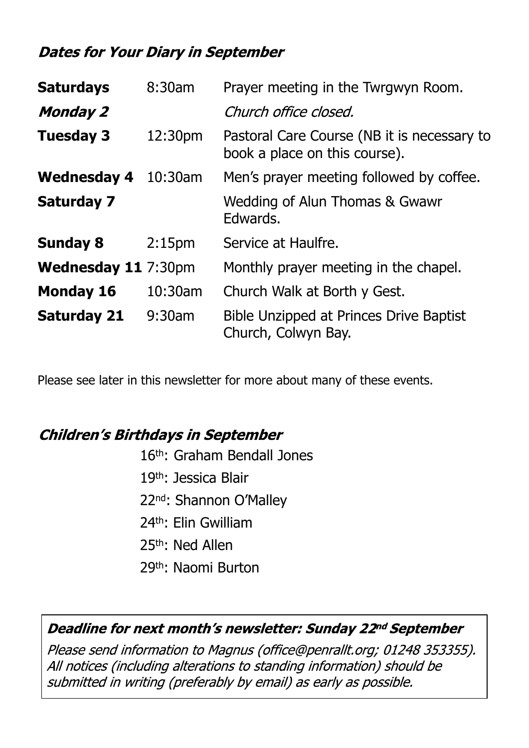### **Dates for Your Diary in September**

| 8:30am<br><b>Saturdays</b> |                    | Prayer meeting in the Twrgwyn Room.                                          |  |  |
|----------------------------|--------------------|------------------------------------------------------------------------------|--|--|
| <b>Monday 2</b>            |                    | Church office closed.                                                        |  |  |
| <b>Tuesday 3</b>           | 12:30pm            | Pastoral Care Course (NB it is necessary to<br>book a place on this course). |  |  |
| <b>Wednesday 4</b>         | $10:30$ am         | Men's prayer meeting followed by coffee.                                     |  |  |
| <b>Saturday 7</b>          |                    | Wedding of Alun Thomas & Gwawr<br>Edwards.                                   |  |  |
| <b>Sunday 8</b>            | 2:15 <sub>pm</sub> | Service at Haulfre.                                                          |  |  |
| <b>Wednesday 11 7:30pm</b> |                    | Monthly prayer meeting in the chapel.                                        |  |  |
| <b>Monday 16</b>           | 10:30am            | Church Walk at Borth y Gest.                                                 |  |  |
| <b>Saturday 21</b>         | 9:30am             | Bible Unzipped at Princes Drive Baptist<br>Church, Colwyn Bay.               |  |  |

Please see later in this newsletter for more about many of these events.

#### **Children's Birthdays in September**

- 16th: Graham Bendall Jones
- 19th: Jessica Blair
- 22nd: Shannon O'Malley
- 24th: Elin Gwilliam
- 25th: Ned Allen
- 29th: Naomi Burton

#### Deadline for next month's newsletter: Sunday 22nd September

Please send information to Magnus (office@penrallt.org; 01248 353355). All notices (including alterations to standing information) should be submitted in writing (preferably by email) as early as possible.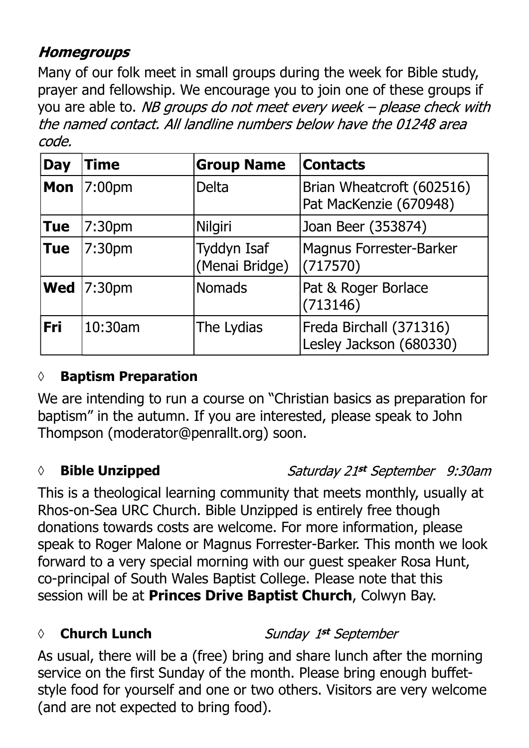## **Homegroups**

Many of our folk meet in small groups during the week for Bible study, prayer and fellowship. We encourage you to join one of these groups if you are able to. NB groups do not meet every week - please check with the named contact. All landline numbers below have the 01248 area code.

| <b>Day</b> | <b>Time</b>        | <b>Group Name</b>                    | <b>Contacts</b>                                     |
|------------|--------------------|--------------------------------------|-----------------------------------------------------|
| Mon        | 7:00pm             | <b>Delta</b>                         | Brian Wheatcroft (602516)<br>Pat MacKenzie (670948) |
| <b>Tue</b> | 7:30pm             | Nilgiri                              | Joan Beer (353874)                                  |
| <b>Tue</b> | 7:30 <sub>pm</sub> | <b>Tyddyn Isaf</b><br>(Menai Bridge) | Magnus Forrester-Barker<br>(717570)                 |
|            | <b>Wed</b>  7:30pm | <b>Nomads</b>                        | Pat & Roger Borlace<br>(713146)                     |
| Fri        | 10:30am            | The Lydias                           | Freda Birchall (371316)<br>Lesley Jackson (680330)  |

#### **◊ Baptism Preparation**

We are intending to run a course on "Christian basics as preparation for baptism" in the autumn. If you are interested, please speak to John Thompson (moderator@penrallt.org) soon.

#### *◊* **Bible Unzipped**

Saturday 21st September 9:30am

This is a theological learning community that meets monthly, usually at Rhos-on-Sea URC Church. Bible Unzipped is entirely free though donations towards costs are welcome. For more information, please speak to Roger Malone or Magnus Forrester-Barker. This month we look forward to a very special morning with our guest speaker Rosa Hunt, co-principal of South Wales Baptist College. Please note that this session will be at **Princes Drive Baptist Church**, Colwyn Bay.

#### *◊* **Church Lunch**

Sunday 1st September

As usual, there will be a (free) bring and share lunch after the morning service on the first Sunday of the month. Please bring enough buffetstyle food for yourself and one or two others. Visitors are very welcome (and are not expected to bring food).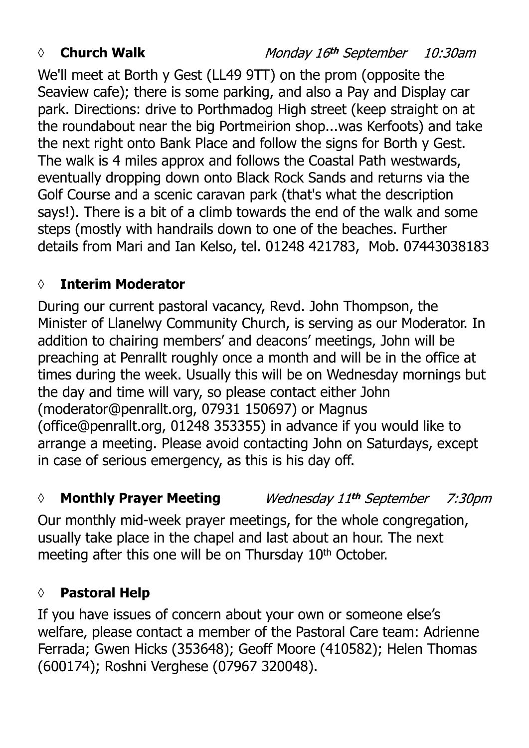### *◊* **Church Walk**

We'll meet at Borth y Gest (LL49 9TT) on the prom (opposite the Seaview cafe); there is some parking, and also a Pay and Display car park. Directions: drive to Porthmadog High street (keep straight on at the roundabout near the big Portmeirion shop...was Kerfoots) and take the next right onto Bank Place and follow the signs for Borth y Gest. The walk is 4 miles approx and follows the Coastal Path westwards, eventually dropping down onto Black Rock Sands and returns via the Golf Course and a scenic caravan park (that's what the description says!). There is a bit of a climb towards the end of the walk and some steps (mostly with handrails down to one of the beaches. Further details from Mari and Ian Kelso, tel. 01248 421783, Mob. 07443038183

## **◊ Interim Moderator**

During our current pastoral vacancy, Revd. John Thompson, the Minister of Llanelwy Community Church, is serving as our Moderator. In addition to chairing members' and deacons' meetings, John will be preaching at Penrallt roughly once a month and will be in the office at times during the week. Usually this will be on Wednesday mornings but the day and time will vary, so please contact either John (moderator@penrallt.org, 07931 150697) or Magnus (office@penrallt.org, 01248 353355) in advance if you would like to arrange a meeting. Please avoid contacting John on Saturdays, except in case of serious emergency, as this is his day off.

#### *◊* **Monthly Prayer Meeting** Wednesday 11th September 7:30pm

Our monthly mid-week prayer meetings, for the whole congregation, usually take place in the chapel and last about an hour. The next meeting after this one will be on Thursday 10<sup>th</sup> October.

## **◊ Pastoral Help**

If you have issues of concern about your own or someone else's welfare, please contact a member of the Pastoral Care team: Adrienne Ferrada; Gwen Hicks (353648); Geoff Moore (410582); Helen Thomas (600174); Roshni Verghese (07967 320048).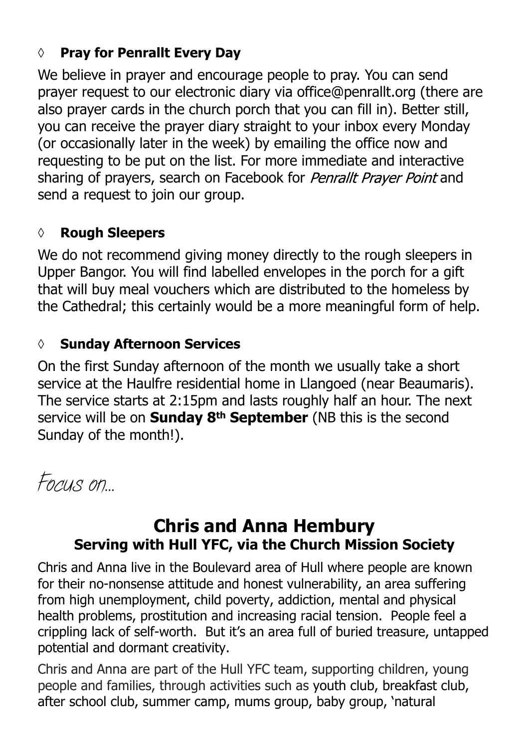## **◊ Pray for Penrallt Every Day**

We believe in prayer and encourage people to pray. You can send prayer request to our electronic diary via office@penrallt.org (there are also prayer cards in the church porch that you can fill in). Better still, you can receive the prayer diary straight to your inbox every Monday (or occasionally later in the week) by emailing the office now and requesting to be put on the list. For more immediate and interactive sharing of prayers, search on Facebook for Penrallt Prayer Point and send a request to join our group.

#### **◊ Rough Sleepers**

We do not recommend giving money directly to the rough sleepers in Upper Bangor. You will find labelled envelopes in the porch for a gift that will buy meal vouchers which are distributed to the homeless by the Cathedral; this certainly would be a more meaningful form of help.

#### *◊* **Sunday Afternoon Services**

On the first Sunday afternoon of the month we usually take a short service at the Haulfre residential home in Llangoed (near Beaumaris). The service starts at 2:15pm and lasts roughly half an hour. The next service will be on **Sunday 8th September** (NB this is the second Sunday of the month!).

*Focus on…*

## **Chris and Anna Hembury Serving with Hull YFC, via the Church Mission Society**

Chris and Anna live in the Boulevard area of Hull where people are known for their no-nonsense attitude and honest vulnerability, an area suffering from high unemployment, child poverty, addiction, mental and physical health problems, prostitution and increasing racial tension. People feel a crippling lack of self-worth. But it's an area full of buried treasure, untapped potential and dormant creativity.

Chris and Anna are part of the Hull YFC team, supporting children, young people and families, through activities such as youth club, breakfast club, after school club, summer camp, mums group, baby group, 'natural